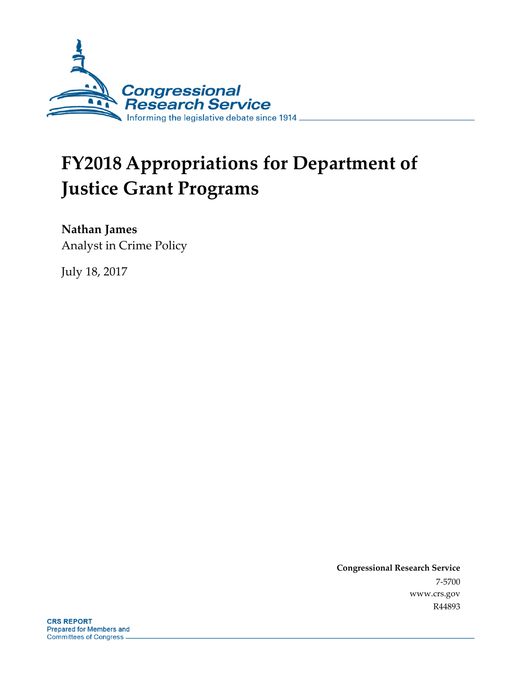

# **FY2018 Appropriations for Department of Justice Grant Programs**

**Nathan James**

Analyst in Crime Policy

July 18, 2017

**Congressional Research Service** 7-5700 www.crs.gov R44893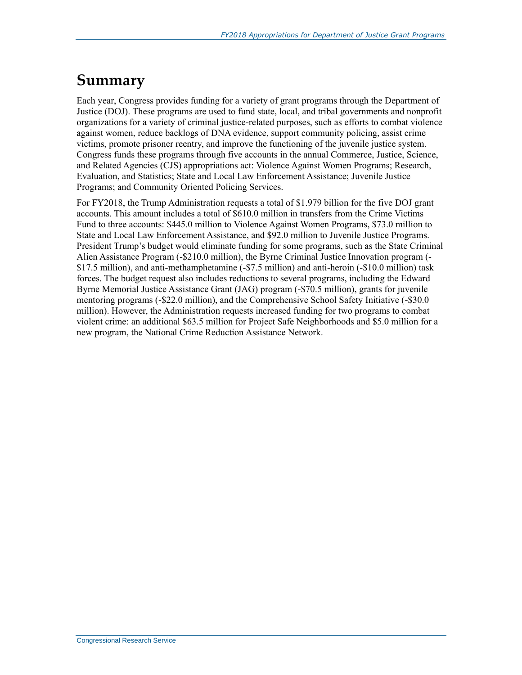## **Summary**

Each year, Congress provides funding for a variety of grant programs through the Department of Justice (DOJ). These programs are used to fund state, local, and tribal governments and nonprofit organizations for a variety of criminal justice-related purposes, such as efforts to combat violence against women, reduce backlogs of DNA evidence, support community policing, assist crime victims, promote prisoner reentry, and improve the functioning of the juvenile justice system. Congress funds these programs through five accounts in the annual Commerce, Justice, Science, and Related Agencies (CJS) appropriations act: Violence Against Women Programs; Research, Evaluation, and Statistics; State and Local Law Enforcement Assistance; Juvenile Justice Programs; and Community Oriented Policing Services.

For FY2018, the Trump Administration requests a total of \$1.979 billion for the five DOJ grant accounts. This amount includes a total of \$610.0 million in transfers from the Crime Victims Fund to three accounts: \$445.0 million to Violence Against Women Programs, \$73.0 million to State and Local Law Enforcement Assistance, and \$92.0 million to Juvenile Justice Programs. President Trump's budget would eliminate funding for some programs, such as the State Criminal Alien Assistance Program (-\$210.0 million), the Byrne Criminal Justice Innovation program (- \$17.5 million), and anti-methamphetamine (-\$7.5 million) and anti-heroin (-\$10.0 million) task forces. The budget request also includes reductions to several programs, including the Edward Byrne Memorial Justice Assistance Grant (JAG) program (-\$70.5 million), grants for juvenile mentoring programs (-\$22.0 million), and the Comprehensive School Safety Initiative (-\$30.0 million). However, the Administration requests increased funding for two programs to combat violent crime: an additional \$63.5 million for Project Safe Neighborhoods and \$5.0 million for a new program, the National Crime Reduction Assistance Network.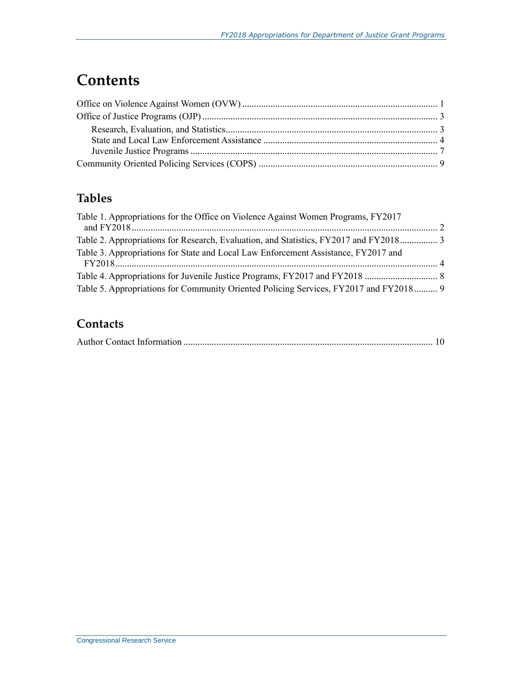## **Contents**

### **Tables**

| Table 1. Appropriations for the Office on Violence Against Women Programs, FY2017     |  |
|---------------------------------------------------------------------------------------|--|
| Table 2. Appropriations for Research, Evaluation, and Statistics, FY2017 and FY2018 3 |  |
| Table 3. Appropriations for State and Local Law Enforcement Assistance, FY2017 and    |  |
|                                                                                       |  |
|                                                                                       |  |
| Table 5. Appropriations for Community Oriented Policing Services, FY2017 and FY2018 9 |  |

### **Contacts**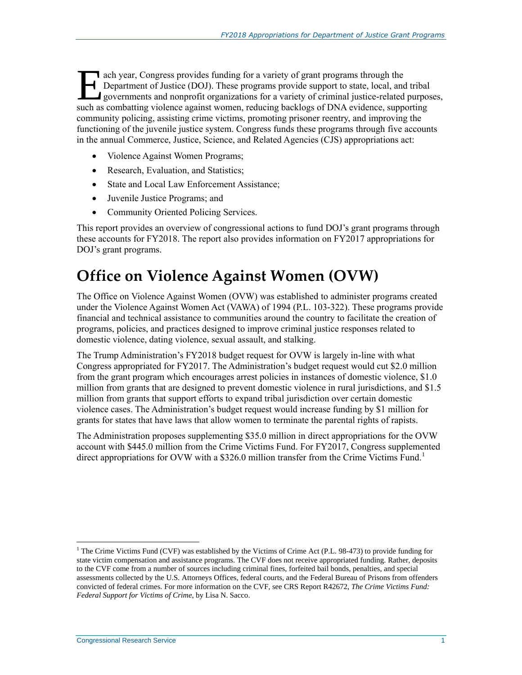ach year, Congress provides funding for a variety of grant programs through the Department of Justice (DOJ). These programs provide support to state, local, and tribal governments and nonprofit organizations for a variety of criminal justice-related purposes, ach year, Congress provides funding for a variety of grant programs through the<br>Department of Justice (DOJ). These programs provide support to state, local, and tribal<br>governments and nonprofit organizations for a variety community policing, assisting crime victims, promoting prisoner reentry, and improving the functioning of the juvenile justice system. Congress funds these programs through five accounts in the annual Commerce, Justice, Science, and Related Agencies (CJS) appropriations act:

- Violence Against Women Programs;
- Research, Evaluation, and Statistics;
- State and Local Law Enforcement Assistance:
- Juvenile Justice Programs; and
- Community Oriented Policing Services.

This report provides an overview of congressional actions to fund DOJ's grant programs through these accounts for FY2018. The report also provides information on FY2017 appropriations for DOJ's grant programs.

### **Office on Violence Against Women (OVW)**

The Office on Violence Against Women (OVW) was established to administer programs created under the Violence Against Women Act (VAWA) of 1994 (P.L. 103-322). These programs provide financial and technical assistance to communities around the country to facilitate the creation of programs, policies, and practices designed to improve criminal justice responses related to domestic violence, dating violence, sexual assault, and stalking.

The Trump Administration's FY2018 budget request for OVW is largely in-line with what Congress appropriated for FY2017. The Administration's budget request would cut \$2.0 million from the grant program which encourages arrest policies in instances of domestic violence, \$1.0 million from grants that are designed to prevent domestic violence in rural jurisdictions, and \$1.5 million from grants that support efforts to expand tribal jurisdiction over certain domestic violence cases. The Administration's budget request would increase funding by \$1 million for grants for states that have laws that allow women to terminate the parental rights of rapists.

The Administration proposes supplementing \$35.0 million in direct appropriations for the OVW account with \$445.0 million from the Crime Victims Fund. For FY2017, Congress supplemented direct appropriations for OVW with a \$326.0 million transfer from the Crime Victims Fund.<sup>1</sup>

 $\overline{a}$ 

<sup>&</sup>lt;sup>1</sup> The Crime Victims Fund (CVF) was established by the Victims of Crime Act (P.L. 98-473) to provide funding for state victim compensation and assistance programs. The CVF does not receive appropriated funding. Rather, deposits to the CVF come from a number of sources including criminal fines, forfeited bail bonds, penalties, and special assessments collected by the U.S. Attorneys Offices, federal courts, and the Federal Bureau of Prisons from offenders convicted of federal crimes. For more information on the CVF, see CRS Report R42672, *The Crime Victims Fund: Federal Support for Victims of Crime*, by Lisa N. Sacco.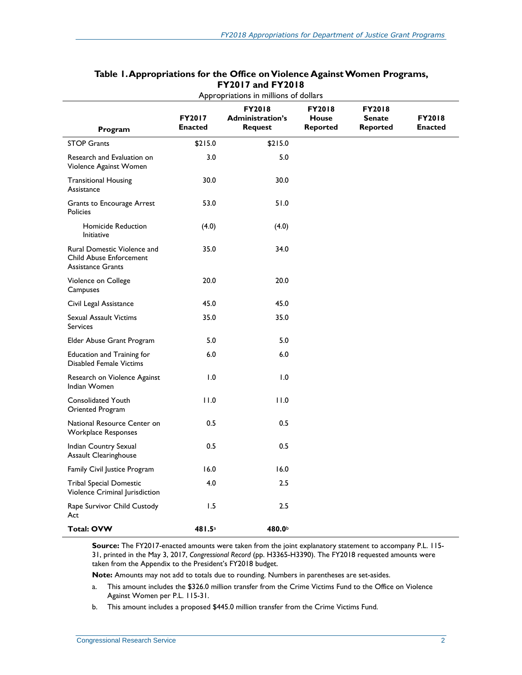| Program                                                                                   | <b>FY2017</b><br><b>Enacted</b> | <b>FY2018</b><br><b>Administration's</b><br><b>Request</b> | FY2018<br>House<br><b>Reported</b> | FY2018<br><b>Senate</b><br><b>Reported</b> | <b>FY2018</b><br><b>Enacted</b> |
|-------------------------------------------------------------------------------------------|---------------------------------|------------------------------------------------------------|------------------------------------|--------------------------------------------|---------------------------------|
| <b>STOP Grants</b>                                                                        | \$215.0                         | \$215.0                                                    |                                    |                                            |                                 |
| Research and Evaluation on<br>Violence Against Women                                      | 3.0                             | 5.0                                                        |                                    |                                            |                                 |
| <b>Transitional Housing</b><br>Assistance                                                 | 30.0                            | 30.0                                                       |                                    |                                            |                                 |
| Grants to Encourage Arrest<br><b>Policies</b>                                             | 53.0                            | 51.0                                                       |                                    |                                            |                                 |
| Homicide Reduction<br>Initiative                                                          | (4.0)                           | (4.0)                                                      |                                    |                                            |                                 |
| Rural Domestic Violence and<br><b>Child Abuse Enforcement</b><br><b>Assistance Grants</b> | 35.0                            | 34.0                                                       |                                    |                                            |                                 |
| Violence on College<br>Campuses                                                           | 20.0                            | 20.0                                                       |                                    |                                            |                                 |
| Civil Legal Assistance                                                                    | 45.0                            | 45.0                                                       |                                    |                                            |                                 |
| Sexual Assault Victims<br><b>Services</b>                                                 | 35.0                            | 35.0                                                       |                                    |                                            |                                 |
| Elder Abuse Grant Program                                                                 | 5.0                             | 5.0                                                        |                                    |                                            |                                 |
| <b>Education and Training for</b><br><b>Disabled Female Victims</b>                       | 6.0                             | 6.0                                                        |                                    |                                            |                                 |
| Research on Violence Against<br>Indian Women                                              | 1.0                             | 1.0                                                        |                                    |                                            |                                 |
| <b>Consolidated Youth</b><br>Oriented Program                                             | 11.0                            | 11.0                                                       |                                    |                                            |                                 |
| National Resource Center on<br>Workplace Responses                                        | 0.5                             | 0.5                                                        |                                    |                                            |                                 |
| Indian Country Sexual<br>Assault Clearinghouse                                            | 0.5                             | 0.5                                                        |                                    |                                            |                                 |
| Family Civil Justice Program                                                              | 16.0                            | 16.0                                                       |                                    |                                            |                                 |
| <b>Tribal Special Domestic</b><br>Violence Criminal Jurisdiction                          | 4.0                             | 2.5                                                        |                                    |                                            |                                 |
| Rape Survivor Child Custody<br>Act                                                        | 1.5                             | 2.5                                                        |                                    |                                            |                                 |
| <b>Total: OVW</b>                                                                         | 481.5a                          | 480.0 <sup>b</sup>                                         |                                    |                                            |                                 |

#### **Table 1. Appropriations for the Office on Violence Against Women Programs, FY2017 and FY2018** Appropriations in millions of dollars

**Source:** The FY2017-enacted amounts were taken from the joint explanatory statement to accompany [P.L. 115-](http://www.congress.gov/cgi-lis/bdquery/R?d115:FLD002:@1(115+31)) [31,](http://www.congress.gov/cgi-lis/bdquery/R?d115:FLD002:@1(115+31)) printed in the May 3, 2017, *Congressional Record* (pp. H3365-H3390). The FY2018 requested amounts were taken from the Appendix to the President's FY2018 budget.

**Note:** Amounts may not add to totals due to rounding. Numbers in parentheses are set-asides.

- <span id="page-4-0"></span>a. This amount includes the \$326.0 million transfer from the Crime Victims Fund to the Office on Violence Against Women per P.L. 115-31.
- <span id="page-4-1"></span>b. This amount includes a proposed \$445.0 million transfer from the Crime Victims Fund.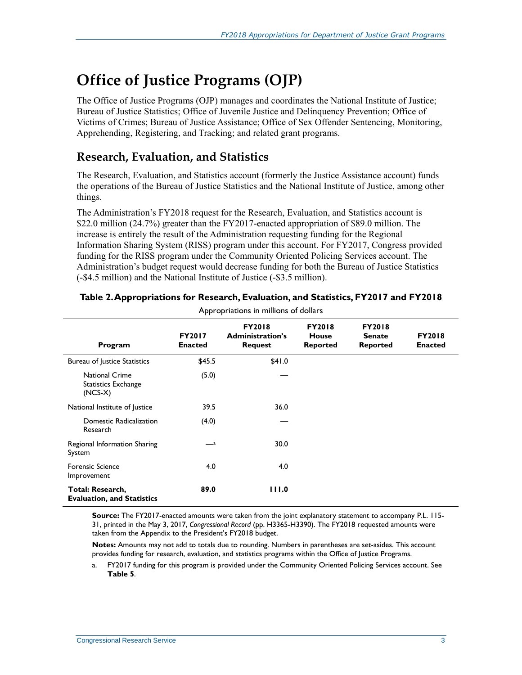## **Office of Justice Programs (OJP)**

The Office of Justice Programs (OJP) manages and coordinates the National Institute of Justice; Bureau of Justice Statistics; Office of Juvenile Justice and Delinquency Prevention; Office of Victims of Crimes; Bureau of Justice Assistance; Office of Sex Offender Sentencing, Monitoring, Apprehending, Registering, and Tracking; and related grant programs.

#### **Research, Evaluation, and Statistics**

The Research, Evaluation, and Statistics account (formerly the Justice Assistance account) funds the operations of the Bureau of Justice Statistics and the National Institute of Justice, among other things.

The Administration's FY2018 request for the Research, Evaluation, and Statistics account is \$22.0 million (24.7%) greater than the FY2017-enacted appropriation of \$89.0 million. The increase is entirely the result of the Administration requesting funding for the Regional Information Sharing System (RISS) program under this account. For FY2017, Congress provided funding for the RISS program under the Community Oriented Policing Services account. The Administration's budget request would decrease funding for both the Bureau of Justice Statistics (-\$4.5 million) and the National Institute of Justice (-\$3.5 million).

| Program                                                   | <b>FY2017</b><br><b>Enacted</b> | <b>FY2018</b><br><b>Administration's</b><br><b>Request</b> | <b>FY2018</b><br><b>House</b><br><b>Reported</b> | <b>FY2018</b><br><b>Senate</b><br><b>Reported</b> | <b>FY2018</b><br><b>Enacted</b> |
|-----------------------------------------------------------|---------------------------------|------------------------------------------------------------|--------------------------------------------------|---------------------------------------------------|---------------------------------|
| Bureau of Justice Statistics                              | \$45.5                          | \$41.0                                                     |                                                  |                                                   |                                 |
| <b>National Crime</b><br>Statistics Exchange<br>$(NCS-X)$ | (5.0)                           |                                                            |                                                  |                                                   |                                 |
| National Institute of Justice                             | 39.5                            | 36.0                                                       |                                                  |                                                   |                                 |
| Domestic Radicalization<br>Research                       | (4.0)                           |                                                            |                                                  |                                                   |                                 |
| Regional Information Sharing<br>System                    | — a                             | 30.0                                                       |                                                  |                                                   |                                 |
| <b>Forensic Science</b><br>Improvement                    | 4.0                             | 4.0                                                        |                                                  |                                                   |                                 |
| Total: Research,<br><b>Evaluation, and Statistics</b>     | 89.0                            | 111.0                                                      |                                                  |                                                   |                                 |

#### **Table 2. Appropriations for Research, Evaluation, and Statistics, FY2017 and FY2018** Appropriations in millions of dollars

**Source:** The FY2017-enacted amounts were taken from the joint explanatory statement to accompany P.L. 115- 31, printed in the May 3, 2017, *Congressional Record* (pp. H3365-H3390). The FY2018 requested amounts were taken from the Appendix to the President's FY2018 budget.

**Notes:** Amounts may not add to totals due to rounding. Numbers in parentheses are set-asides. This account provides funding for research, evaluation, and statistics programs within the Office of Justice Programs.

<span id="page-5-0"></span>a. FY2017 funding for this program is provided under the Community Oriented Policing Services account. See **[Table 5](#page-11-0)**.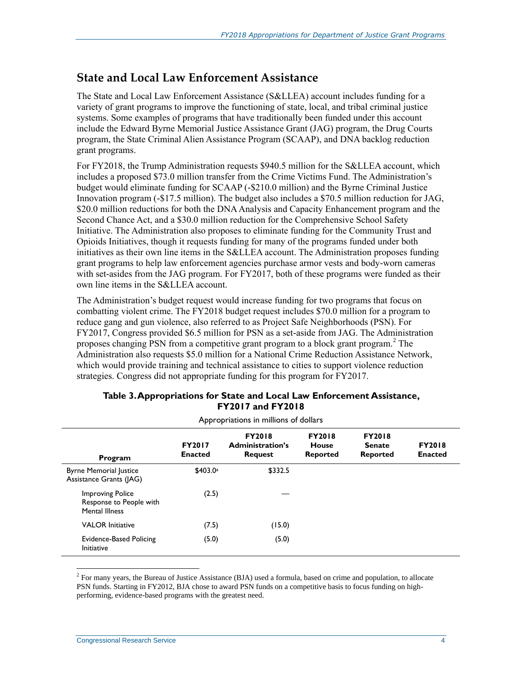#### **State and Local Law Enforcement Assistance**

The State and Local Law Enforcement Assistance (S&LLEA) account includes funding for a variety of grant programs to improve the functioning of state, local, and tribal criminal justice systems. Some examples of programs that have traditionally been funded under this account include the Edward Byrne Memorial Justice Assistance Grant (JAG) program, the Drug Courts program, the State Criminal Alien Assistance Program (SCAAP), and DNA backlog reduction grant programs.

For FY2018, the Trump Administration requests \$940.5 million for the S&LLEA account, which includes a proposed \$73.0 million transfer from the Crime Victims Fund. The Administration's budget would eliminate funding for SCAAP (-\$210.0 million) and the Byrne Criminal Justice Innovation program (-\$17.5 million). The budget also includes a \$70.5 million reduction for JAG, \$20.0 million reductions for both the DNA Analysis and Capacity Enhancement program and the Second Chance Act, and a \$30.0 million reduction for the Comprehensive School Safety Initiative. The Administration also proposes to eliminate funding for the Community Trust and Opioids Initiatives, though it requests funding for many of the programs funded under both initiatives as their own line items in the S&LLEA account. The Administration proposes funding grant programs to help law enforcement agencies purchase armor vests and body-worn cameras with set-asides from the JAG program. For FY2017, both of these programs were funded as their own line items in the S&LLEA account.

The Administration's budget request would increase funding for two programs that focus on combatting violent crime. The FY2018 budget request includes \$70.0 million for a program to reduce gang and gun violence, also referred to as Project Safe Neighborhoods (PSN). For FY2017, Congress provided \$6.5 million for PSN as a set-aside from JAG. The Administration proposes changing PSN from a competitive grant program to a block grant program.<sup>2</sup> The Administration also requests \$5.0 million for a National Crime Reduction Assistance Network, which would provide training and technical assistance to cities to support violence reduction strategies. Congress did not appropriate funding for this program for FY2017.

| Appropriations in millions of dollars                                       |                                 |                                                            |                                           |                                                   |                                 |  |
|-----------------------------------------------------------------------------|---------------------------------|------------------------------------------------------------|-------------------------------------------|---------------------------------------------------|---------------------------------|--|
| Program                                                                     | <b>FY2017</b><br><b>Enacted</b> | <b>FY2018</b><br><b>Administration's</b><br><b>Request</b> | <b>FY2018</b><br>House<br><b>Reported</b> | <b>FY2018</b><br><b>Senate</b><br><b>Reported</b> | <b>FY2018</b><br><b>Enacted</b> |  |
| <b>Byrne Memorial Justice</b><br>Assistance Grants (JAG)                    | \$403.0a                        | \$332.5                                                    |                                           |                                                   |                                 |  |
| <b>Improving Police</b><br>Response to People with<br><b>Mental Illness</b> | (2.5)                           |                                                            |                                           |                                                   |                                 |  |
| <b>VALOR</b> Initiative                                                     | (7.5)                           | (15.0)                                                     |                                           |                                                   |                                 |  |
| <b>Evidence-Based Policing</b><br>Initiative                                | (5.0)                           | (5.0)                                                      |                                           |                                                   |                                 |  |

#### **Table 3. Appropriations for State and Local Law Enforcement Assistance, FY2017 and FY2018**

 $\overline{a}$ 

 $2^2$  For many years, the Bureau of Justice Assistance (BJA) used a formula, based on crime and population, to allocate PSN funds. Starting in FY2012, BJA chose to award PSN funds on a competitive basis to focus funding on highperforming, evidence-based programs with the greatest need.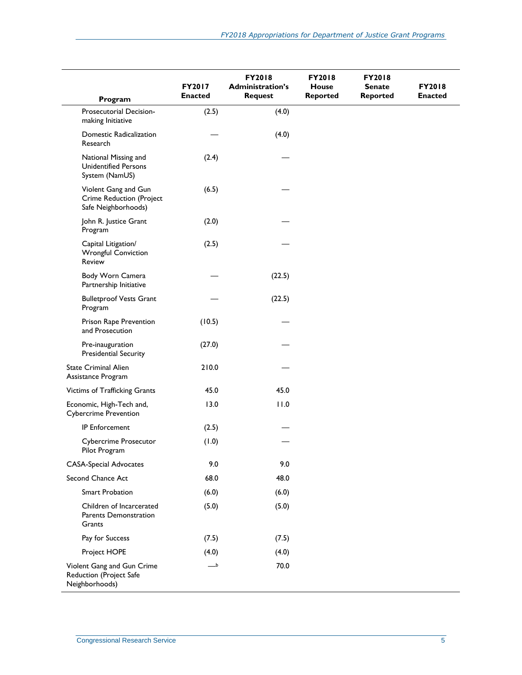| Program                                                                        | FY2017<br><b>Enacted</b> | <b>FY2018</b><br><b>Administration's</b><br><b>Request</b> | <b>FY2018</b><br>House<br><b>Reported</b> | <b>FY2018</b><br><b>Senate</b><br><b>Reported</b> | <b>FY2018</b><br><b>Enacted</b> |
|--------------------------------------------------------------------------------|--------------------------|------------------------------------------------------------|-------------------------------------------|---------------------------------------------------|---------------------------------|
| Prosecutorial Decision-<br>making Initiative                                   | (2.5)                    | (4.0)                                                      |                                           |                                                   |                                 |
| Domestic Radicalization<br>Research                                            |                          | (4.0)                                                      |                                           |                                                   |                                 |
| National Missing and<br><b>Unidentified Persons</b><br>System (NamUS)          | (2.4)                    |                                                            |                                           |                                                   |                                 |
| Violent Gang and Gun<br><b>Crime Reduction (Project</b><br>Safe Neighborhoods) | (6.5)                    |                                                            |                                           |                                                   |                                 |
| John R. Justice Grant<br>Program                                               | (2.0)                    |                                                            |                                           |                                                   |                                 |
| Capital Litigation/<br><b>Wrongful Conviction</b><br>Review                    | (2.5)                    |                                                            |                                           |                                                   |                                 |
| Body Worn Camera<br>Partnership Initiative                                     |                          | (22.5)                                                     |                                           |                                                   |                                 |
| <b>Bulletproof Vests Grant</b><br>Program                                      |                          | (22.5)                                                     |                                           |                                                   |                                 |
| Prison Rape Prevention<br>and Prosecution                                      | (10.5)                   |                                                            |                                           |                                                   |                                 |
| Pre-inauguration<br><b>Presidential Security</b>                               | (27.0)                   |                                                            |                                           |                                                   |                                 |
| <b>State Criminal Alien</b><br>Assistance Program                              | 210.0                    |                                                            |                                           |                                                   |                                 |
| Victims of Trafficking Grants                                                  | 45.0                     | 45.0                                                       |                                           |                                                   |                                 |
| Economic, High-Tech and,<br><b>Cybercrime Prevention</b>                       | 13.0                     | 11.0                                                       |                                           |                                                   |                                 |
| <b>IP Enforcement</b>                                                          | (2.5)                    |                                                            |                                           |                                                   |                                 |
| <b>Cybercrime Prosecutor</b><br>Pilot Program                                  | (1.0)                    |                                                            |                                           |                                                   |                                 |
| <b>CASA-Special Advocates</b>                                                  | 9.0                      | 9.0                                                        |                                           |                                                   |                                 |
| Second Chance Act                                                              | 68.0                     | 48.0                                                       |                                           |                                                   |                                 |
| <b>Smart Probation</b>                                                         | (6.0)                    | (6.0)                                                      |                                           |                                                   |                                 |
| Children of Incarcerated<br>Parents Demonstration<br>Grants                    | (5.0)                    | (5.0)                                                      |                                           |                                                   |                                 |
| Pay for Success                                                                | (7.5)                    | (7.5)                                                      |                                           |                                                   |                                 |
| Project HOPE                                                                   | (4.0)                    | (4.0)                                                      |                                           |                                                   |                                 |
| Violent Gang and Gun Crime<br>Reduction (Project Safe<br>Neighborhoods)        | _b                       | 70.0                                                       |                                           |                                                   |                                 |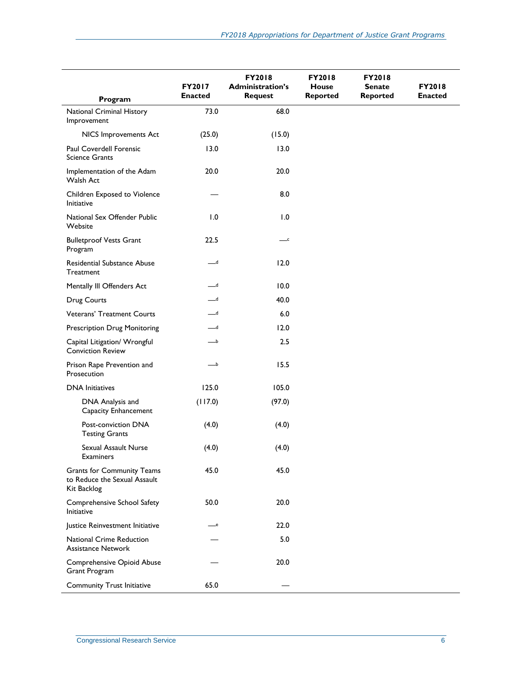|                                                                                  | FY2017<br><b>Enacted</b> | <b>FY2018</b><br><b>Administration's</b> | <b>FY2018</b><br><b>House</b> | <b>FY2018</b><br><b>Senate</b> | <b>FY2018</b><br><b>Enacted</b> |
|----------------------------------------------------------------------------------|--------------------------|------------------------------------------|-------------------------------|--------------------------------|---------------------------------|
| Program                                                                          |                          | <b>Request</b>                           | <b>Reported</b>               | <b>Reported</b>                |                                 |
| National Criminal History<br>Improvement                                         | 73.0                     | 68.0                                     |                               |                                |                                 |
| NICS Improvements Act                                                            | (25.0)                   | (15.0)                                   |                               |                                |                                 |
| Paul Coverdell Forensic<br><b>Science Grants</b>                                 | 13.0                     | 13.0                                     |                               |                                |                                 |
| Implementation of the Adam<br>Walsh Act                                          | 20.0                     | 20.0                                     |                               |                                |                                 |
| Children Exposed to Violence<br>Initiative                                       |                          | 8.0                                      |                               |                                |                                 |
| National Sex Offender Public<br>Website                                          | 1.0                      | 1.0                                      |                               |                                |                                 |
| <b>Bulletproof Vests Grant</b><br>Program                                        | 22.5                     | $\overline{\phantom{a}}^{\phantom{a}}$   |                               |                                |                                 |
| Residential Substance Abuse<br>Treatment                                         | $-d$                     | 12.0                                     |                               |                                |                                 |
| Mentally III Offenders Act                                                       | ە—                       | 10.0                                     |                               |                                |                                 |
| Drug Courts                                                                      | $-$ d                    | 40.0                                     |                               |                                |                                 |
| <b>Veterans' Treatment Courts</b>                                                | ە__                      | 6.0                                      |                               |                                |                                 |
| <b>Prescription Drug Monitoring</b>                                              | ە__                      | 12.0                                     |                               |                                |                                 |
| Capital Litigation/ Wrongful<br><b>Conviction Review</b>                         |                          | 2.5                                      |                               |                                |                                 |
| Prison Rape Prevention and<br>Prosecution                                        | $\_b$                    | 15.5                                     |                               |                                |                                 |
| <b>DNA</b> Initiatives                                                           | 125.0                    | 105.0                                    |                               |                                |                                 |
| DNA Analysis and<br>Capacity Enhancement                                         | (117.0)                  | (97.0)                                   |                               |                                |                                 |
| Post-conviction DNA<br><b>Testing Grants</b>                                     | (4.0)                    | (4.0)                                    |                               |                                |                                 |
| Sexual Assault Nurse<br>Examiners                                                | (4.0)                    | (4.0)                                    |                               |                                |                                 |
| <b>Grants for Community Teams</b><br>to Reduce the Sexual Assault<br>Kit Backlog | 45.0                     | 45.0                                     |                               |                                |                                 |
| Comprehensive School Safety<br>Initiative                                        | 50.0                     | 20.0                                     |                               |                                |                                 |
| Justice Reinvestment Initiative                                                  | —e                       | 22.0                                     |                               |                                |                                 |
| <b>National Crime Reduction</b><br><b>Assistance Network</b>                     |                          | 5.0                                      |                               |                                |                                 |
| Comprehensive Opioid Abuse<br>Grant Program                                      |                          | 20.0                                     |                               |                                |                                 |
| <b>Community Trust Initiative</b>                                                | 65.0                     |                                          |                               |                                |                                 |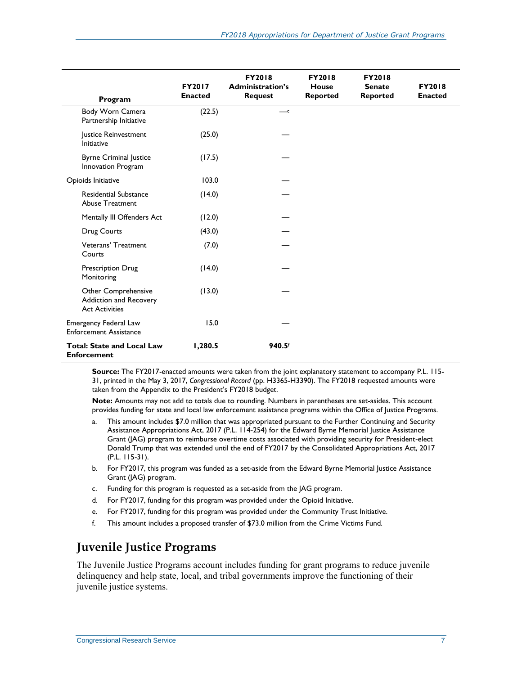| Program                                                                | <b>FY2017</b><br><b>Enacted</b> | <b>FY2018</b><br><b>Administration's</b><br><b>Request</b> | <b>FY2018</b><br><b>House</b><br><b>Reported</b> | <b>FY2018</b><br><b>Senate</b><br><b>Reported</b> | <b>FY2018</b><br><b>Enacted</b> |
|------------------------------------------------------------------------|---------------------------------|------------------------------------------------------------|--------------------------------------------------|---------------------------------------------------|---------------------------------|
| Body Worn Camera<br>Partnership Initiative                             | (22.5)                          | $\overline{\phantom{a}}^{\phantom{a}}$                     |                                                  |                                                   |                                 |
| Justice Reinvestment<br>Initiative                                     | (25.0)                          |                                                            |                                                  |                                                   |                                 |
| <b>Byrne Criminal Justice</b><br>Innovation Program                    | (17.5)                          |                                                            |                                                  |                                                   |                                 |
| Opioids Initiative                                                     | 103.0                           |                                                            |                                                  |                                                   |                                 |
| <b>Residential Substance</b><br><b>Abuse Treatment</b>                 | (14.0)                          |                                                            |                                                  |                                                   |                                 |
| Mentally III Offenders Act                                             | (12.0)                          |                                                            |                                                  |                                                   |                                 |
| Drug Courts                                                            | (43.0)                          |                                                            |                                                  |                                                   |                                 |
| Veterans' Treatment<br>Courts                                          | (7.0)                           |                                                            |                                                  |                                                   |                                 |
| <b>Prescription Drug</b><br>Monitoring                                 | (14.0)                          |                                                            |                                                  |                                                   |                                 |
| Other Comprehensive<br>Addiction and Recovery<br><b>Act Activities</b> | (13.0)                          |                                                            |                                                  |                                                   |                                 |
| Emergency Federal Law<br><b>Enforcement Assistance</b>                 | 15.0                            |                                                            |                                                  |                                                   |                                 |
| <b>Total: State and Local Law</b><br><b>Enforcement</b>                | 1,280.5                         | 940.5f                                                     |                                                  |                                                   |                                 |

**Source:** The FY2017-enacted amounts were taken from the joint explanatory statement to accompany [P.L. 115-](http://www.congress.gov/cgi-lis/bdquery/R?d115:FLD002:@1(115+31)) [31,](http://www.congress.gov/cgi-lis/bdquery/R?d115:FLD002:@1(115+31)) printed in the May 3, 2017, *Congressional Record* (pp. H3365-H3390). The FY2018 requested amounts were taken from the Appendix to the President's FY2018 budget.

**Note:** Amounts may not add to totals due to rounding. Numbers in parentheses are set-asides. This account provides funding for state and local law enforcement assistance programs within the Office of Justice Programs.

- <span id="page-9-0"></span>a. This amount includes \$7.0 million that was appropriated pursuant to the Further Continuing and Security Assistance Appropriations Act, 2017 (P.L. 114-254) for the Edward Byrne Memorial Justice Assistance Grant (JAG) program to reimburse overtime costs associated with providing security for President-elect Donald Trump that was extended until the end of FY2017 by the Consolidated Appropriations Act, 2017 [\(P.L. 115-31\)](http://www.congress.gov/cgi-lis/bdquery/R?d115:FLD002:@1(115+31)).
- <span id="page-9-1"></span>b. For FY2017, this program was funded as a set-aside from the Edward Byrne Memorial Justice Assistance Grant (JAG) program.
- <span id="page-9-2"></span>c. Funding for this program is requested as a set-aside from the JAG program.
- <span id="page-9-3"></span>d. For FY2017, funding for this program was provided under the Opioid Initiative.
- <span id="page-9-4"></span>e. For FY2017, funding for this program was provided under the Community Trust Initiative.
- <span id="page-9-5"></span>f. This amount includes a proposed transfer of \$73.0 million from the Crime Victims Fund.

### **Juvenile Justice Programs**

The Juvenile Justice Programs account includes funding for grant programs to reduce juvenile delinquency and help state, local, and tribal governments improve the functioning of their juvenile justice systems.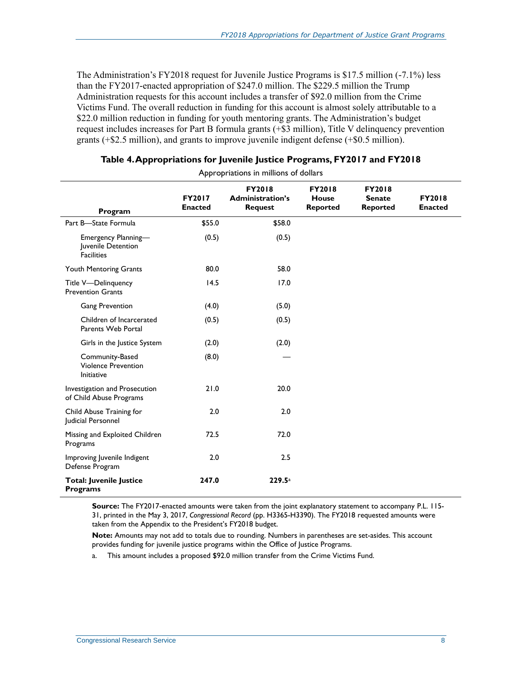The Administration's FY2018 request for Juvenile Justice Programs is \$17.5 million (-7.1%) less than the FY2017-enacted appropriation of \$247.0 million. The \$229.5 million the Trump Administration requests for this account includes a transfer of \$92.0 million from the Crime Victims Fund. The overall reduction in funding for this account is almost solely attributable to a \$22.0 million reduction in funding for youth mentoring grants. The Administration's budget request includes increases for Part B formula grants (+\$3 million), Title V delinquency prevention grants (+\$2.5 million), and grants to improve juvenile indigent defense (+\$0.5 million).

| Appropriations in millions of dollars                          |                                 |                                                            |                                           |                                                   |                                 |
|----------------------------------------------------------------|---------------------------------|------------------------------------------------------------|-------------------------------------------|---------------------------------------------------|---------------------------------|
| Program                                                        | <b>FY2017</b><br><b>Enacted</b> | <b>FY2018</b><br><b>Administration's</b><br><b>Request</b> | <b>FY2018</b><br>House<br><b>Reported</b> | <b>FY2018</b><br><b>Senate</b><br><b>Reported</b> | <b>FY2018</b><br><b>Enacted</b> |
| Part B-State Formula                                           | \$55.0                          | \$58.0                                                     |                                           |                                                   |                                 |
| Emergency Planning-<br>Juvenile Detention<br><b>Facilities</b> | (0.5)                           | (0.5)                                                      |                                           |                                                   |                                 |
| Youth Mentoring Grants                                         | 80.0                            | 58.0                                                       |                                           |                                                   |                                 |
| Title V-Delinguency<br><b>Prevention Grants</b>                | 14.5                            | 17.0                                                       |                                           |                                                   |                                 |
| <b>Gang Prevention</b>                                         | (4.0)                           | (5.0)                                                      |                                           |                                                   |                                 |
| Children of Incarcerated<br>Parents Web Portal                 | (0.5)                           | (0.5)                                                      |                                           |                                                   |                                 |
| Girls in the Justice System                                    | (2.0)                           | (2.0)                                                      |                                           |                                                   |                                 |
| Community-Based<br><b>Violence Prevention</b><br>Initiative    | (8.0)                           |                                                            |                                           |                                                   |                                 |
| Investigation and Prosecution<br>of Child Abuse Programs       | 21.0                            | 20.0                                                       |                                           |                                                   |                                 |
| Child Abuse Training for<br>Judicial Personnel                 | 2.0                             | 2.0                                                        |                                           |                                                   |                                 |
| Missing and Exploited Children<br>Programs                     | 72.5                            | 72.0                                                       |                                           |                                                   |                                 |
| Improving Juvenile Indigent<br>Defense Program                 | 2.0                             | 2.5                                                        |                                           |                                                   |                                 |
| <b>Total: Juvenile Justice</b><br><b>Programs</b>              | 247.0                           | 229.5 <sup>a</sup>                                         |                                           |                                                   |                                 |

**Source:** The FY2017-enacted amounts were taken from the joint explanatory statement to accompany P.L. 115- 31, printed in the May 3, 2017, *Congressional Record* (pp. H3365-H3390). The FY2018 requested amounts were taken from the Appendix to the President's FY2018 budget.

**Note:** Amounts may not add to totals due to rounding. Numbers in parentheses are set-asides. This account provides funding for juvenile justice programs within the Office of Justice Programs.

<span id="page-10-0"></span>a. This amount includes a proposed \$92.0 million transfer from the Crime Victims Fund.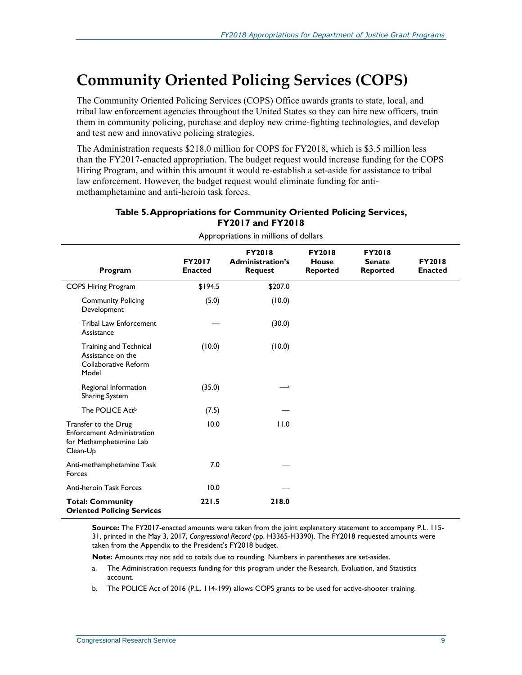## **Community Oriented Policing Services (COPS)**

The Community Oriented Policing Services (COPS) Office awards grants to state, local, and tribal law enforcement agencies throughout the United States so they can hire new officers, train them in community policing, purchase and deploy new crime-fighting technologies, and develop and test new and innovative policing strategies.

The Administration requests \$218.0 million for COPS for FY2018, which is \$3.5 million less than the FY2017-enacted appropriation. The budget request would increase funding for the COPS Hiring Program, and within this amount it would re-establish a set-aside for assistance to tribal law enforcement. However, the budget request would eliminate funding for antimethamphetamine and anti-heroin task forces.

| Program                                                                                          | <b>FY2017</b><br><b>Enacted</b> | <b>FY2018</b><br><b>Administration's</b><br><b>Request</b> | <b>FY2018</b><br><b>House</b><br><b>Reported</b> | <b>FY2018</b><br><b>Senate</b><br><b>Reported</b> | <b>FY2018</b><br><b>Enacted</b> |
|--------------------------------------------------------------------------------------------------|---------------------------------|------------------------------------------------------------|--------------------------------------------------|---------------------------------------------------|---------------------------------|
| <b>COPS Hiring Program</b>                                                                       | \$194.5                         | \$207.0                                                    |                                                  |                                                   |                                 |
| <b>Community Policing</b><br>Development                                                         | (5.0)                           | (10.0)                                                     |                                                  |                                                   |                                 |
| <b>Tribal Law Enforcement</b><br>Assistance                                                      |                                 | (30.0)                                                     |                                                  |                                                   |                                 |
| Training and Technical<br>Assistance on the<br>Collaborative Reform<br>Model                     | (10.0)                          | (10.0)                                                     |                                                  |                                                   |                                 |
| Regional Information<br><b>Sharing System</b>                                                    | (35.0)                          | — a                                                        |                                                  |                                                   |                                 |
| The POLICE Act <sup>b</sup>                                                                      | (7.5)                           |                                                            |                                                  |                                                   |                                 |
| Transfer to the Drug<br><b>Enforcement Administration</b><br>for Methamphetamine Lab<br>Clean-Up | 10.0                            | 11.0                                                       |                                                  |                                                   |                                 |
| Anti-methamphetamine Task<br>Forces                                                              | 7.0                             |                                                            |                                                  |                                                   |                                 |
| <b>Anti-heroin Task Forces</b>                                                                   | 10.0                            |                                                            |                                                  |                                                   |                                 |
| <b>Total: Community</b><br><b>Oriented Policing Services</b>                                     | 221.5                           | 218.0                                                      |                                                  |                                                   |                                 |

#### <span id="page-11-0"></span>**Table 5. Appropriations for Community Oriented Policing Services, FY2017 and FY2018**

Appropriations in millions of dollars

**Source:** The FY2017-enacted amounts were taken from the joint explanatory statement to accompany P.L. 115- 31, printed in the May 3, 2017, *Congressional Record* (pp. H3365-H3390). The FY2018 requested amounts were taken from the Appendix to the President's FY2018 budget.

**Note:** Amounts may not add to totals due to rounding. Numbers in parentheses are set-asides.

- <span id="page-11-1"></span>a. The Administration requests funding for this program under the Research, Evaluation, and Statistics account.
- <span id="page-11-2"></span>b. The POLICE Act of 2016 [\(P.L. 114-199\)](http://www.congress.gov/cgi-lis/bdquery/R?d114:FLD002:@1(114+199)) allows COPS grants to be used for active-shooter training.